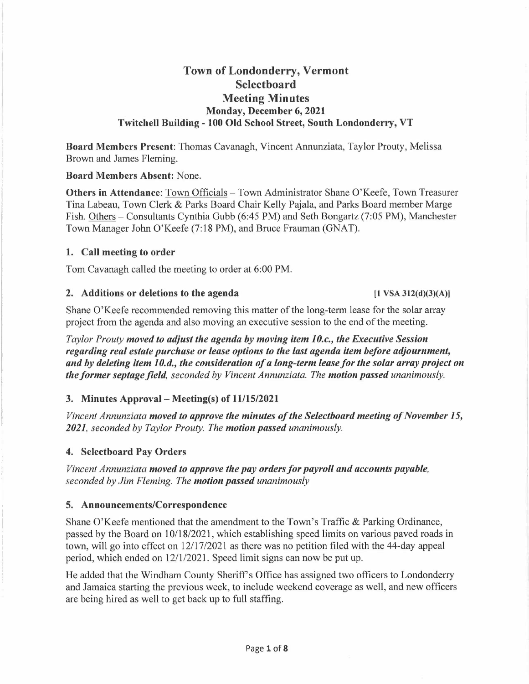# **Town of Londonderry, Vermont Selectboard Meeting Minutes Monday, December 6, 2021 Twitchell Building - 100 Old School Street, South Londonderry, VT**

**Board Members Present:** Thomas Cavanagh, Vincent Annunziata, Taylor Prouty, Melissa Brown and James Fleming.

#### **Board Members Absent:** None.

**Others in Attendance:** Town Officials - Town Administrator Shane O'Keefe, Town Treasurer Tina Labeau, Town Clerk & Parks Board Chair Kelly Pajala, and Parks Board member Marge Fish. Others - Consultants Cynthia Gubb (6:45 PM) and Seth Bongartz (7:05 PM), Manchester Town Manager John O'Keefe (7: 18 PM), and Bruce Frauman (GNAT).

#### **1. Call meeting to order**

Tom Cavanagh called the meeting to order at 6:00 PM.

#### **2. Additions or deletions to the agenda (1 VSA 312(d)(3)(A)l**

Shane O'Keefe recommended removing this matter of the long-term lease for the solar array project from the agenda and also moving an executive session to the end of the meeting.

*Taylor Prouty moved to adjust the agenda by moving item 10.c., the Executive Session regarding real estate purchase or lease options to the last agenda item before adjournment, and by deleting item 1 O.d., the consideration of a long-term lease for the solar array project on the former septage field, seconded by Vincent Annunziata. The motion passed unanimously.* 

### **3. Minutes Approval- Meeting(s) of 11/15/2021**

*Vincent Annunziata moved to approve the minutes of the Selectboard meeting of November 15, 2021, seconded by Taylor Prouty. The motion passed unanimously.* 

### **4. Selectboard Pay Orders**

*Vincent Annunziata moved to approve the pay orders for payroll and accounts payable, seconded by Jim Fleming. The motion passed unanimously* 

### **5. Announcements/Correspondence**

Shane O'Keefe mentioned that the amendment to the Town's Traffic & Parking Ordinance, passed by the Board on 10/18/2021, which establishing speed limits on various paved roads in town, will go into effect on 12/17/2021 as there was no petition filed with the 44-day appeal period, which ended on 12/1/2021. Speed limit signs can now be put up.

He added that the Windham County Sheriff's Office has assigned two officers to Londonderry and Jamaica starting the previous week, to include weekend coverage as well, and new officers are being hired as well to get back up to full staffing.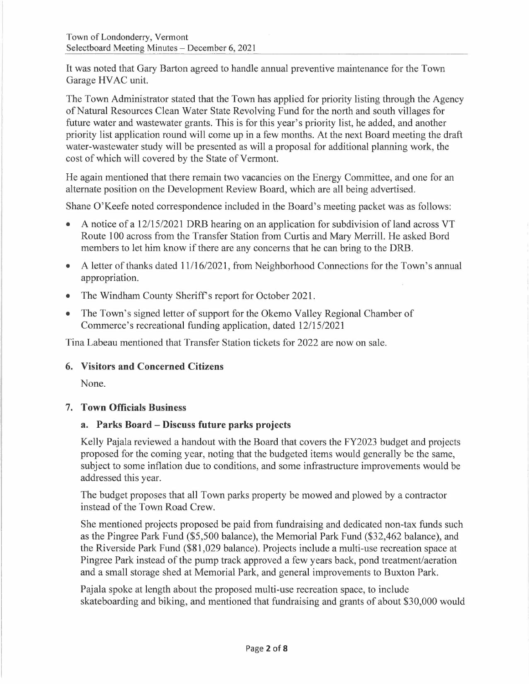It was noted that Gary Barton agreed to handle annual preventive maintenance for the Town Garage HVAC unit.

The Town Administrator stated that the Town has applied for priority listing through the Agency of Natural Resources Clean Water State Revolving Fund for the north and south villages for future water and wastewater grants. This is for this year's priority list, he added, and another priority list application round will come up in a few months. At the next Board meeting the draft water-wastewater study will be presented as will a proposal for additional planning work, the cost of which will covered by the State of Vermont.

He again mentioned that there remain two vacancies on the Energy Committee, and one for an alternate position on the Development Review Board, which are all being advertised.

Shane O'Keefe noted correspondence included in the Board's meeting packet was as follows:

- A notice of a 12/15/2021 DRB hearing on an application for subdivision of land across VT Route 100 across from the Transfer Station from Curtis and Mary Merrill. He asked Bord members to let him know if there are any concerns that he can bring to the DRB.
- A letter of thanks dated 11/16/2021, from Neighborhood Connections for the Town's annual appropriation.
- The Windham County Sheriff's report for October 2021.
- The Town's signed letter of support for the Okemo Valley Regional Chamber of Commerce's recreational funding application, dated 12/15/2021

Tina Labeau mentioned that Transfer Station tickets for 2022 are now on sale.

### **6. Visitors and Concerned Citizens**

None.

### **7. Town Officials Business**

### **a. Parks Board - Discuss future parks projects**

Kelly Pajala reviewed a handout with the Board that covers the FY2023 budget and projects proposed for the coming year, noting that the budgeted items would generally be the same, subject to some inflation due to conditions, and some infrastructure improvements would be addressed this year.

The budget proposes that all Town parks property be mowed and plowed by a contractor instead of the Town Road Crew.

She mentioned projects proposed be paid from fundraising and dedicated non-tax funds such as the Pingree Park Fund (\$5,500 balance), the Memorial Park Fund (\$32,462 balance), and the Riverside Park Fund (\$81,029 balance). Projects include a multi-use recreation space at Pingree Park instead of the pump track approved a few years back, pond treatment/aeration and a small storage shed at Memorial Park, and general improvements to Buxton Park.

Pajala spoke at length about the proposed multi-use recreation space, to include skateboarding and biking, and mentioned that fundraising and grants of about \$30,000 would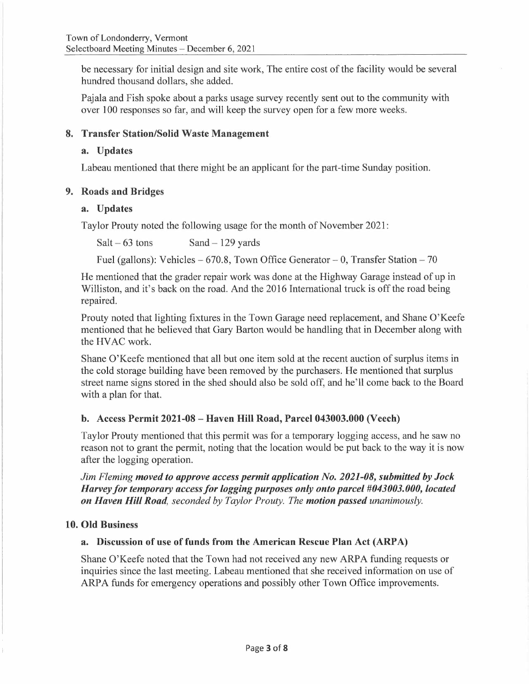be necessary for initial design and site work, The entire cost of the facility would be several hundred thousand dollars, she added.

Pajala and Fish spoke about a parks usage survey recently sent out to the community with over 100 responses so far, and will keep the survey open for a few more weeks.

### **8. Transfer Station/Solid Waste Management**

### **a. Updates**

Labeau mentioned that there might be an applicant for the part-time Sunday position.

### **9. Roads and Bridges**

### **a. Updates**

Taylor Prouty noted the following usage for the month of November 2021:

 $Salt-63$  tons  $Sand-129$  yards

Fuel (gallons): Vehicles  $-670.8$ , Town Office Generator  $- 0$ , Transfer Station  $- 70$ 

He mentioned that the grader repair work was done at the Highway Garage instead of up in Williston, and it's back on the road. And the 2016 International truck is off the road being repaired.

Prouty noted that lighting fixtures in the Town Garage need replacement, and Shane O'Keefe mentioned that he believed that Gary Barton would be handling that in December along with the HV AC work.

Shane O'Keefe mentioned that all but one item sold at the recent auction of surplus items in the cold storage building have been removed by the purchasers. He mentioned that surplus street name signs stored in the shed should also be sold off, and he'll come back to the Board with a plan for that.

## **b. Access Permit 2021-08 - Haven Hill Road, Parcel 043003.000 (Veech)**

Taylor Prouty mentioned that this permit was for a temporary logging access, and he saw no reason not to grant the permit, noting that the location would be put back to the way it is now after the logging operation.

*Jim Fleming moved to approve access permit application No. 2021-08, submitted by Jock Harvey for temporary access for logging purposes only onto parcel #043003.000, located on Haven Hill Road, seconded by Taylor Prouty. The motion passed unanimously.* 

## **10. Old Business**

## a. Discussion of use of funds from the American Rescue Plan Act (ARPA)

Shane O'Keefe noted that the Town had not received any new ARPA funding requests or inquiries since the last meeting. Labeau mentioned that she received information on use of ARPA funds for emergency operations and possibly other Town Office improvements.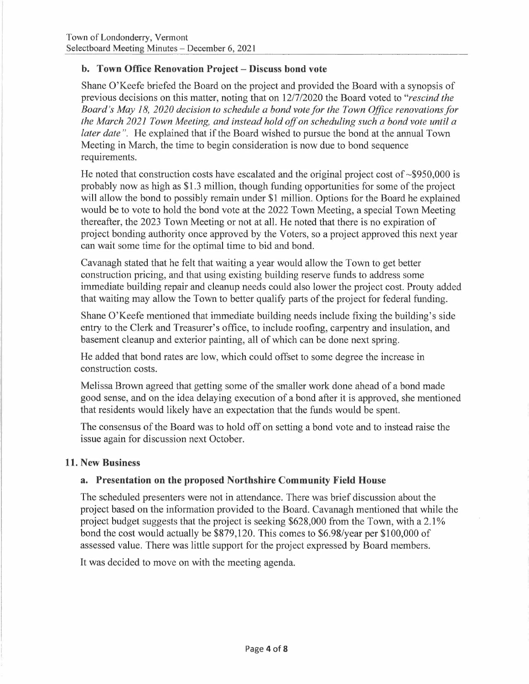### **b. Town Office Renovation Project - Discuss bond vote**

Shane O'Keefe briefed the Board on the project and provided the Board with a synopsis of previous decisions on this matter, noting that on 12/7/2020 the Board voted to *"rescind the Board's May 18, 2020 decision to schedule a bond vote for the Town Office renovations for the March 2021 Town Meeting, and instead hold off on scheduling such a bond vote until a later date".* He explained that if the Board wished to pursue the bond at the annual Town Meeting in March, the time to begin consideration is now due to bond sequence requirements.

He noted that construction costs have escalated and the original project cost of  $\sim$ \$950,000 is probably now as high as \$1.3 million, though funding opportunities for some of the project will allow the bond to possibly remain under \$1 million. Options for the Board he explained would be to vote to hold the bond vote at the 2022 Town Meeting, a special Town Meeting thereafter, the 2023 Town Meeting or not at all. He noted that there is no expiration of project bonding authority once approved by the Voters, so a project approved this next year can wait some time for the optimal time to bid and bond.

Cavanagh stated that he felt that waiting a year would allow the Town to get better construction pricing, and that using existing building reserve funds to address some immediate building repair and cleanup needs could also lower the project cost. Prouty added that waiting may allow the Town to better qualify parts of the project for federal funding.

Shane O'Keefe mentioned that immediate building needs include fixing the building's side entry to the Clerk and Treasurer's office, to include roofing, carpentry and insulation, and basement cleanup and exterior painting, all of which can be done next spring.

He added that bond rates are low, which could offset to some degree the increase in construction costs.

Melissa Brown agreed that getting some of the smaller work done ahead of a bond made good sense, and on the idea delaying execution of a bond after it is approved, she mentioned that residents would likely have an expectation that the funds would be spent.

The consensus of the Board was to hold off on setting a bond vote and to instead raise the issue again for discussion next October.

### **11. New Business**

### **a. Presentation on the proposed Northshire Community Field House**

The scheduled presenters were not in attendance. There was brief discussion about the project based on the information provided to the Board. Cavanagh mentioned that while the project budget suggests that the project is seeking \$628,000 from the Town, with a 2.1% bond the cost would actually be \$879,120. This comes to \$6.98/year per \$100,000 of assessed value. There was little support for the project expressed by Board members.

It was decided to move on with the meeting agenda.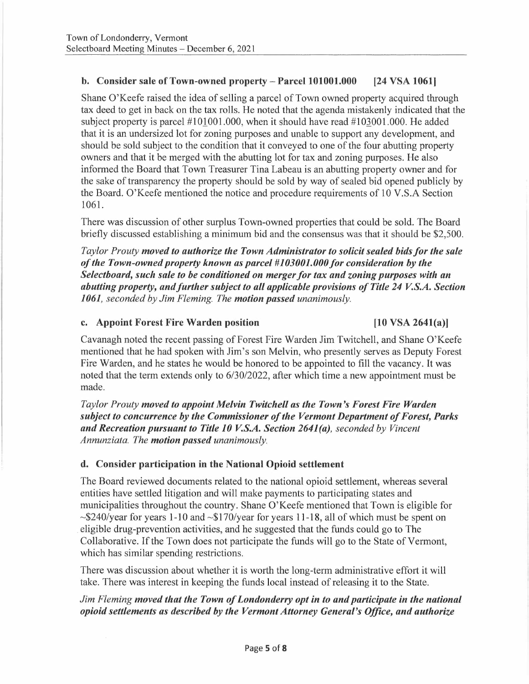### **b. Consider sale of Town-owned property - Parcel 101001.000 [24 VSA 1061]**

Shane O'Keefe raised the idea of selling a parcel of Town owned property acquired through tax deed to get in back on the tax rolls. He noted that the agenda mistakenly indicated that the subject property is parcel  $#101001.000$ , when it should have read  $#103001.000$ . He added that it is an undersized lot for zoning purposes and unable to support any development, and should be sold subject to the condition that it conveyed to one of the four abutting property owners and that it be merged with the abutting lot for tax and zoning purposes. He also informed the Board that Town Treasurer Tina Labeau is an abutting property owner and for the sake of transparency the property should be sold by way of sealed bid opened publicly by the Board. O'Keefe mentioned the notice and procedure requirements of 10 V.S.A Section 1061.

There was discussion of other surplus Town-owned properties that could be sold. The Board briefly discussed establishing a minimum bid and the consensus was that it should be \$2,500.

*Taylor Prouty moved to authorize the Town Administrator to solicit sealed bids for the sale of the Town-owned property known as parcel #103001.000 for consideration by the Selectboard, such sale to be conditioned on merger for tax and zoning purposes with an abutting property, and further subject to all applicable provisions of Title 24 V.S.A. Section 1061, seconded by Jim Fleming. The motion passed unanimously.* 

#### **c. Appoint Forest Fire Warden position [10 VSA 2641(a)]**

Cavanagh noted the recent passing of Forest Fire Warden Jim Twitchell, and Shane O'Keefe mentioned that he had spoken with Jim's son Melvin, who presently serves as Deputy Forest Fire Warden, and he states he would be honored to be appointed to fill the vacancy. It was noted that the term extends only to 6/30/2022, after which time a new appointment must be made.

*Taylor Prouty moved to appoint Melvin Twitchell as the Town's Forest Fire Warden subject to concurrence by the Commissioner of the Vermont Department of Forest, Parks and Recreation pursuant to Title 10 V.S.A. Section 2641(a), seconded by Vincent Annunziata. The motion passed unanimously.* 

### **d. Consider participation in the National Opioid settlement**

The Board reviewed documents related to the national opioid settlement, whereas several entities have settled litigation and will make payments to participating states and municipalities throughout the country. Shane O'Keefe mentioned that Town is eligible for  $\sim$ \$240/year for years 1-10 and  $\sim$ \$170/year for years 11-18, all of which must be spent on . eligible drug-prevention activities, and he suggested that the funds could go to The Collaborative. If the Town does not participate the funds will go to the State of Vermont, which has similar spending restrictions.

There was discussion about whether it is worth the long-term administrative effort it will take. There was interest in keeping the funds local instead of releasing it to the State.

## *Jim Fleming moved that the Town of Londonderry opt in to and participate in the national opioid settlements as described by the Vermont Attorney General's Office, and authorize*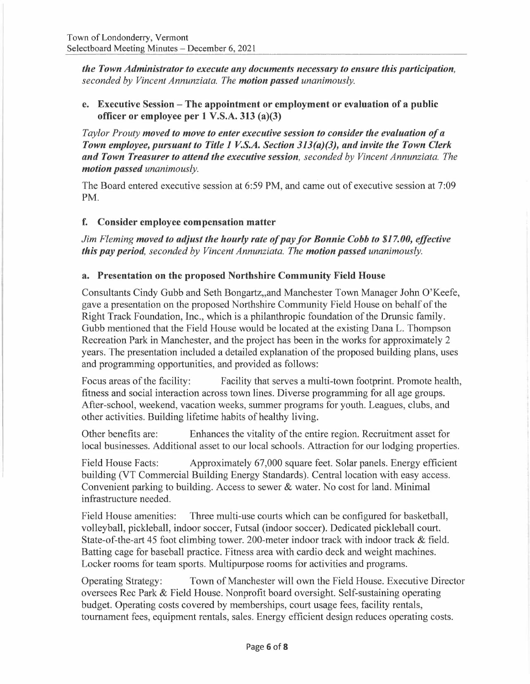*the Town Administrator to execute any documents necessary to ensure this participation, seconded by Vincent Annunziata. The motion passed unanimously.* 

### **e. Executive Session - The appointment or employment or evaluation of a public officer or employee per 1 V.S.A. 313 (a)(3)**

*Taylor Prouty moved to move to enter executive session to consider the evaluation of a Town employee, pursuant to Title 1 V.S.A. Section 313(a)(3), and invite the Town Clerk and Town Treasurer to attend the executive session, seconded by Vincent Annunziata. The motion passed unanimously.* 

The Board entered executive session at 6:59 PM, and came out of executive session at 7:09 PM.

## **f. Consider employee compensation matter**

*Jim Fleming moved to adjust the hourly rate of pay for Bonnie Cobb to \$17. 00, effective this pay period, seconded by Vincent Annunziata. The motion passed unanimously.* 

### **a. Presentation on the proposed Northshire Community Field House**

Consultants Cindy Gubb and Seth Bongartz,,and Manchester Town Manager John O'Keefe, gave a presentation on the proposed Northshire Community Field House on behalf of the Right Track Foundation, Inc., which is a philanthropic foundation of the Drunsic family. Gubb mentioned that the Field House would be located at the existing Dana L. Thompson Recreation Park in Manchester, and the project has been in the works for approximately 2 years. The presentation included a detailed explanation of the proposed building plans, uses and programming opportunities, and provided as follows:

Focus areas of the facility: Facility that serves a multi-town footprint. Promote health, fitness and social interaction across town lines. Diverse programming for all age groups. After-school, weekend, vacation weeks, summer programs for youth. Leagues, clubs, and other activities. Building lifetime habits of healthy living.

Other benefits are: Enhances the vitality of the entire region. Recruitment asset for local businesses. Additional asset to our local schools. Attraction for our lodging properties.

Field House Facts: Approximately 67,000 square feet. Solar panels. Energy efficient building (VT Commercial Building Energy Standards). Central location with easy access. Convenient parking to building. Access to sewer & water. No cost for land. Minimal infrastructure needed.

Field House amenities: Three multi-use courts which can be configured for basketball, volleyball, pickleball, indoor soccer, Futsal (indoor soccer). Dedicated pickleball court. State-of-the-art 45 foot climbing tower. 200-meter indoor track with indoor track & field. Batting cage for baseball practice. Fitness area with cardio deck and weight machines. Locker rooms for team sports. Multipurpose rooms for activities and programs.

Operating Strategy: Town of Manchester will own the Field House. Executive Director oversees Rec Park & Field House. Nonprofit board oversight. Self-sustaining operating budget. Operating costs covered by memberships, court usage fees, facility rentals, tournament fees, equipment rentals, sales. Energy efficient design reduces operating costs.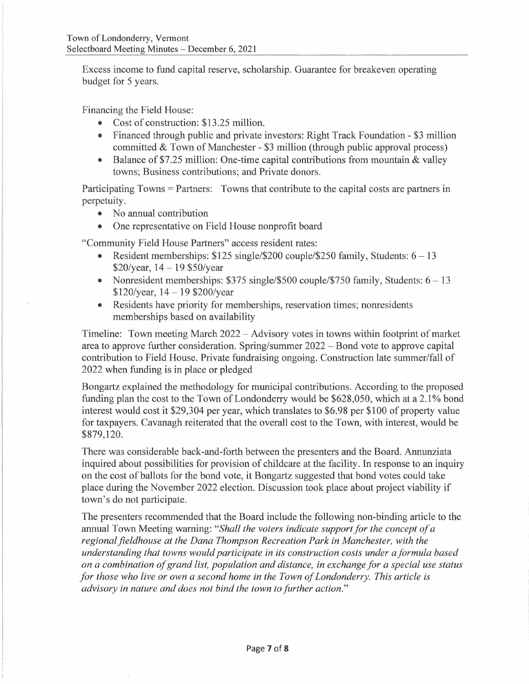Excess income to fund capital reserve, scholarship. Guarantee for breakeven operating budget for 5 years.

Financing the Field House:

- Cost of construction: \$13.25 million.
- Financed through public and private investors: Right Track Foundation \$3 million committed & Town of Manchester - \$3 million (through public approval process)
- Balance of \$7.25 million: One-time capital contributions from mountain & valley towns; Business contributions; and Private donors.

Participating Towns = Partners: Towns that contribute to the capital costs are partners in perpetuity.

- No annual contribution
- One representative on Field House nonprofit board

"Community Field House Partners" access resident rates:

- Resident memberships:  $$125$  single/ $$200$  couple/ $$250$  family, Students:  $6 13$  $$20/year, 14 - 19 $50/year$
- Nonresident memberships:  $$375 \text{ single}/$500 \text{ couple}/$750 \text{ family}$ , Students:  $6 13$  $$120/year, 14-19 $200/year$
- Residents have priority for memberships, reservation times; nonresidents memberships based on availability

Timeline: Town meeting March 2022 – Advisory votes in towns within footprint of market area to approve further consideration. Spring/summer 2022 - Bond vote to approve capital contribution to Field House. Private fundraising ongoing. Construction late summer/fall of 2022 when funding is in place or pledged

Bongartz explained the methodology for municipal contributions. According to the proposed funding plan the cost to the Town of Londonderry would be \$628,050, which at a 2.1% bond interest would cost it \$29,304 per year, which translates to \$6.98 per \$100 of property value for taxpayers. Cavanagh reiterated that the overall cost to the Town, with interest, would be \$879,120.

There was considerable back-and-forth between the presenters and the Board. Annunziata inquired about possibilities for provision of childcare at the facility. In response to an inquiry on the cost of ballots for the bond vote, it Bongartz suggested that bond votes could take place during the November 2022 election. Discussion took place about project viability if town's do not participate.

The presenters recommended that the Board include the following non-binding article to the annual Town Meeting warning: *"Shall the voters indicate support for the concept of a*  regional fieldhouse at the Dana Thompson Recreation Park in Manchester, with the *understanding that towns would participate in its construction costs under a formula based on a combination of grand list, population and distance, in exchange for a special use status for those who live or own a second home in the Town of Londonderry. This article is advisory in nature and does not bind the town to further action."*